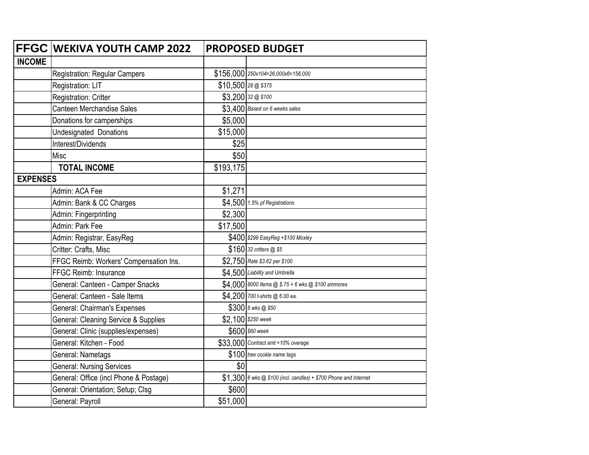|                 | FFGC WEKIVA YOUTH CAMP 2022            | <b>PROPOSED BUDGET</b> |                                                                   |
|-----------------|----------------------------------------|------------------------|-------------------------------------------------------------------|
| <b>INCOME</b>   |                                        |                        |                                                                   |
|                 | Registration: Regular Campers          |                        | \$156,000 250x104=26,000x6=156,000                                |
|                 | Registration: LIT                      | $$10,500$ 28 @ \$375   |                                                                   |
|                 | Registration: Critter                  |                        | \$3,200 32 @ \$100                                                |
|                 | <b>Canteen Merchandise Sales</b>       |                        | \$3.400 Based on 6 weeks sales                                    |
|                 | Donations for camperships              | \$5,000                |                                                                   |
|                 | <b>Undesignated Donations</b>          | \$15,000               |                                                                   |
|                 | Interest/Dividends                     | \$25                   |                                                                   |
|                 | Misc                                   | \$50                   |                                                                   |
|                 | <b>TOTAL INCOME</b>                    | \$193,175              |                                                                   |
| <b>EXPENSES</b> |                                        |                        |                                                                   |
|                 | Admin: ACA Fee                         | \$1,271                |                                                                   |
|                 | Admin: Bank & CC Charges               |                        | \$4,500 1.5% pf Registrations                                     |
|                 | Admin: Fingerprinting                  | \$2,300                |                                                                   |
|                 | Admin: Park Fee                        | \$17,500               |                                                                   |
|                 | Admin: Registrar, EasyReg              |                        | \$400 \$299 EasyReg +\$100 Moxley                                 |
|                 | Critter: Crafts, Misc                  |                        | \$160 32 critters @ \$5                                           |
|                 | FFGC Reimb: Workers' Compensation Ins. |                        | \$2,750 Rate \$3.62 per \$100                                     |
|                 | FFGC Reimb: Insurance                  |                        | \$4,500 Liability and Umbrella                                    |
|                 | General: Canteen - Camper Snacks       |                        | \$4,000 8000 Items @ \$.75 + 6 wks @ \$100 smmores                |
|                 | General: Canteen - Sale Items          |                        | \$4,200 700 t-shirts @ 6.00 ea.                                   |
|                 | General: Chairman's Expenses           |                        | \$300 6 wks @ \$50                                                |
|                 | General: Cleaning Service & Supplies   |                        | \$2,100 \$250 week                                                |
|                 | General: Clinic (supplies/expenses)    |                        | \$600 \$60 week                                                   |
|                 | General: Kitchen - Food                |                        | \$33,000 Contract amt +10% overage                                |
|                 | General: Nametags                      |                        | \$100 tree cookie name tags                                       |
|                 | <b>General: Nursing Services</b>       | \$0                    |                                                                   |
|                 | General: Office (incl Phone & Postage) |                        | $$1,300$ 6 wks @ \$100 (incl. candles) + \$700 Phone and Internet |
|                 | General: Orientation; Setup; Clsg      | \$600                  |                                                                   |
|                 | General: Payroll                       | \$51,000               |                                                                   |